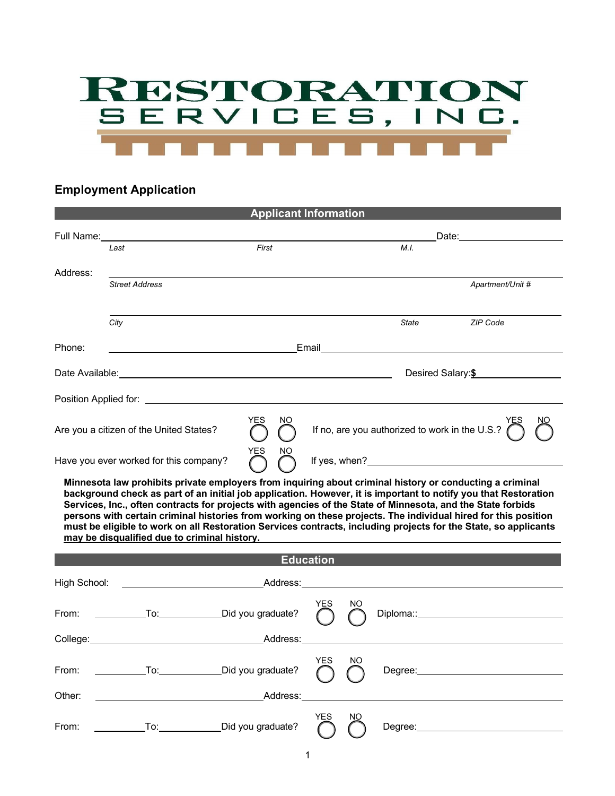

## **Employment Application**

| <b>Applicant Information</b> |                                                                                                                                                                                                                                |                                                                                                                                                                                                                                                                                                                                                                                                                                                                                                              |                                                    |                                                                                                                                                                                                                                |                                                                                                                                                                                                                                |  |  |  |
|------------------------------|--------------------------------------------------------------------------------------------------------------------------------------------------------------------------------------------------------------------------------|--------------------------------------------------------------------------------------------------------------------------------------------------------------------------------------------------------------------------------------------------------------------------------------------------------------------------------------------------------------------------------------------------------------------------------------------------------------------------------------------------------------|----------------------------------------------------|--------------------------------------------------------------------------------------------------------------------------------------------------------------------------------------------------------------------------------|--------------------------------------------------------------------------------------------------------------------------------------------------------------------------------------------------------------------------------|--|--|--|
|                              | Full Name: Management of the Contract of the Contract of the Contract of the Contract of the Contract of the Contract of the Contract of the Contract of the Contract of the Contract of the Contract of the Contract of the C |                                                                                                                                                                                                                                                                                                                                                                                                                                                                                                              |                                                    | Date: the contract of the contract of the contract of the contract of the contract of the contract of the contract of the contract of the contract of the contract of the contract of the contract of the contract of the cont |                                                                                                                                                                                                                                |  |  |  |
|                              | Last                                                                                                                                                                                                                           | First                                                                                                                                                                                                                                                                                                                                                                                                                                                                                                        |                                                    | M.I.                                                                                                                                                                                                                           |                                                                                                                                                                                                                                |  |  |  |
| Address:                     |                                                                                                                                                                                                                                |                                                                                                                                                                                                                                                                                                                                                                                                                                                                                                              |                                                    |                                                                                                                                                                                                                                |                                                                                                                                                                                                                                |  |  |  |
|                              | <b>Street Address</b>                                                                                                                                                                                                          |                                                                                                                                                                                                                                                                                                                                                                                                                                                                                                              |                                                    |                                                                                                                                                                                                                                | Apartment/Unit #                                                                                                                                                                                                               |  |  |  |
|                              |                                                                                                                                                                                                                                |                                                                                                                                                                                                                                                                                                                                                                                                                                                                                                              |                                                    |                                                                                                                                                                                                                                |                                                                                                                                                                                                                                |  |  |  |
|                              | City                                                                                                                                                                                                                           |                                                                                                                                                                                                                                                                                                                                                                                                                                                                                                              |                                                    | State                                                                                                                                                                                                                          | <b>ZIP Code</b>                                                                                                                                                                                                                |  |  |  |
| Phone:                       |                                                                                                                                                                                                                                |                                                                                                                                                                                                                                                                                                                                                                                                                                                                                                              |                                                    |                                                                                                                                                                                                                                | Email 2008 2009 2009 2010 2021 2022 2023 2024 2022 2022 2023 2024 2022 2023 2024 2022 2023 2024 2025 2026 2027                                                                                                                 |  |  |  |
|                              |                                                                                                                                                                                                                                |                                                                                                                                                                                                                                                                                                                                                                                                                                                                                                              | Desired Salary: \$                                 |                                                                                                                                                                                                                                |                                                                                                                                                                                                                                |  |  |  |
|                              |                                                                                                                                                                                                                                |                                                                                                                                                                                                                                                                                                                                                                                                                                                                                                              |                                                    |                                                                                                                                                                                                                                |                                                                                                                                                                                                                                |  |  |  |
|                              | Are you a citizen of the United States?                                                                                                                                                                                        | <b>YES</b><br>NO.                                                                                                                                                                                                                                                                                                                                                                                                                                                                                            | If no, are you authorized to work in the U.S.? $($ |                                                                                                                                                                                                                                |                                                                                                                                                                                                                                |  |  |  |
|                              | Have you ever worked for this company?                                                                                                                                                                                         | YES<br>ΝO                                                                                                                                                                                                                                                                                                                                                                                                                                                                                                    |                                                    |                                                                                                                                                                                                                                |                                                                                                                                                                                                                                |  |  |  |
|                              |                                                                                                                                                                                                                                | Minnesota law prohibits private employers from inquiring about criminal history or conducting a criminal<br>background check as part of an initial job application. However, it is important to notify you that Restoration<br>Services, Inc., often contracts for projects with agencies of the State of Minnesota, and the State forbids<br>persons with certain criminal histories from working on these projects. The individual hired for this position<br>may be disqualified due to criminal history. |                                                    |                                                                                                                                                                                                                                | must be eligible to work on all Restoration Services contracts, including projects for the State, so applicants                                                                                                                |  |  |  |
|                              |                                                                                                                                                                                                                                |                                                                                                                                                                                                                                                                                                                                                                                                                                                                                                              | <b>Education</b>                                   |                                                                                                                                                                                                                                |                                                                                                                                                                                                                                |  |  |  |
| High School:                 |                                                                                                                                                                                                                                |                                                                                                                                                                                                                                                                                                                                                                                                                                                                                                              |                                                    |                                                                                                                                                                                                                                |                                                                                                                                                                                                                                |  |  |  |
| From:                        |                                                                                                                                                                                                                                | To: Did you graduate?                                                                                                                                                                                                                                                                                                                                                                                                                                                                                        | YES<br>NΟ                                          |                                                                                                                                                                                                                                | Diploma:: Diplomation and the contract of the contract of the contract of the contract of the contract of the contract of the contract of the contract of the contract of the contract of the contract of the contract of the  |  |  |  |
|                              |                                                                                                                                                                                                                                | College: Address:                                                                                                                                                                                                                                                                                                                                                                                                                                                                                            |                                                    |                                                                                                                                                                                                                                |                                                                                                                                                                                                                                |  |  |  |
| From:                        |                                                                                                                                                                                                                                | To: Did you graduate?                                                                                                                                                                                                                                                                                                                                                                                                                                                                                        | YES NO                                             |                                                                                                                                                                                                                                |                                                                                                                                                                                                                                |  |  |  |
| Other:                       |                                                                                                                                                                                                                                | <b>Example 2018</b> Address:                                                                                                                                                                                                                                                                                                                                                                                                                                                                                 |                                                    |                                                                                                                                                                                                                                |                                                                                                                                                                                                                                |  |  |  |
| From:                        |                                                                                                                                                                                                                                | To: Did you graduate?                                                                                                                                                                                                                                                                                                                                                                                                                                                                                        | <b>YES</b><br>NO                                   |                                                                                                                                                                                                                                | Degree: National Accounts and Accounts and Accounts and Accounts are also been accounted as a series of the series of the series of the series of the series of the series of the series of the series of the series of the se |  |  |  |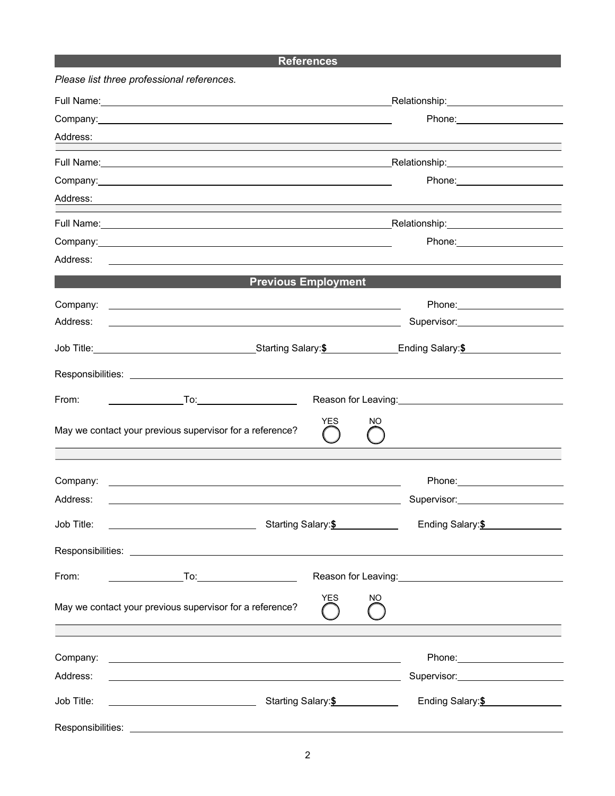## **References**

|                   | Please list three professional references.                                                                                                                                                                                           |                                                                                                                                                                                                                               |     |                                                                                       |  |  |  |  |
|-------------------|--------------------------------------------------------------------------------------------------------------------------------------------------------------------------------------------------------------------------------------|-------------------------------------------------------------------------------------------------------------------------------------------------------------------------------------------------------------------------------|-----|---------------------------------------------------------------------------------------|--|--|--|--|
|                   | Full Name: <u>contract and contract and contract and contract and contract and contract and contract and contract and contract and contract and contract and contract and contract and contract and contract and contract and co</u> | Relationship: Network and Container and Container and Container and Container and Container and Container and Container and Container and Container and Container and Container and Container and Container and Container and |     |                                                                                       |  |  |  |  |
|                   |                                                                                                                                                                                                                                      |                                                                                                                                                                                                                               |     |                                                                                       |  |  |  |  |
| Address:          | <u> 1989 - Johann Stoff, deutscher Stoff, der Stoff, der Stoff, der Stoff, der Stoff, der Stoff, der Stoff, der S</u>                                                                                                                |                                                                                                                                                                                                                               |     |                                                                                       |  |  |  |  |
|                   |                                                                                                                                                                                                                                      |                                                                                                                                                                                                                               |     |                                                                                       |  |  |  |  |
|                   | Phone: 2000 2010 2010 2010 2020 2020 2021 2021 2022 2021 2021 2021 2021 2021 2022 2021 2021 2021 2021 2021 20                                                                                                                        |                                                                                                                                                                                                                               |     |                                                                                       |  |  |  |  |
| Address:          | <u> 1989 - Johann Stoff, deutscher Stoff, der Stoff, der Stoff, der Stoff, der Stoff, der Stoff, der Stoff, der S</u>                                                                                                                |                                                                                                                                                                                                                               |     |                                                                                       |  |  |  |  |
|                   |                                                                                                                                                                                                                                      |                                                                                                                                                                                                                               |     |                                                                                       |  |  |  |  |
|                   |                                                                                                                                                                                                                                      |                                                                                                                                                                                                                               |     |                                                                                       |  |  |  |  |
| Address:          | <u>and the second control of the second control of the second control of the second control of the second control of</u>                                                                                                             |                                                                                                                                                                                                                               |     |                                                                                       |  |  |  |  |
|                   | <b>Previous Employment</b>                                                                                                                                                                                                           |                                                                                                                                                                                                                               |     |                                                                                       |  |  |  |  |
|                   | Company: <u>example and the company:</u>                                                                                                                                                                                             |                                                                                                                                                                                                                               |     |                                                                                       |  |  |  |  |
| Address:          | <u> 1989 - Andrea Barbara, amerikan basar dan berasal dalam berasal dalam berasal dalam berasal dalam berasal da</u>                                                                                                                 |                                                                                                                                                                                                                               |     | Supervisor: Supervisor:                                                               |  |  |  |  |
|                   | Job Title: Contract of Contract Contract Contract Contract Contract Contract Contract Contract Contract Contract Contract Contract Contract Contract Contract Contract Contract Contract Contract Contract Contract Contract C       |                                                                                                                                                                                                                               |     |                                                                                       |  |  |  |  |
|                   |                                                                                                                                                                                                                                      |                                                                                                                                                                                                                               |     |                                                                                       |  |  |  |  |
|                   |                                                                                                                                                                                                                                      |                                                                                                                                                                                                                               |     |                                                                                       |  |  |  |  |
| From:             |                                                                                                                                                                                                                                      |                                                                                                                                                                                                                               |     | Reason for Leaving:<br><u>Neason</u> for Leaving:                                     |  |  |  |  |
|                   | May we contact your previous supervisor for a reference?                                                                                                                                                                             | YES                                                                                                                                                                                                                           | NO  |                                                                                       |  |  |  |  |
|                   |                                                                                                                                                                                                                                      |                                                                                                                                                                                                                               |     |                                                                                       |  |  |  |  |
| Company:          | <u> 1989 - Johann Stoff, fransk politik (d. 1989)</u>                                                                                                                                                                                |                                                                                                                                                                                                                               |     |                                                                                       |  |  |  |  |
| Address:          |                                                                                                                                                                                                                                      |                                                                                                                                                                                                                               |     |                                                                                       |  |  |  |  |
| Job Title:        | Starting Salary: <sup>\$</sup>                                                                                                                                                                                                       |                                                                                                                                                                                                                               |     | Ending Salary: <sup>\$</sup>                                                          |  |  |  |  |
|                   |                                                                                                                                                                                                                                      |                                                                                                                                                                                                                               |     |                                                                                       |  |  |  |  |
| From:             |                                                                                                                                                                                                                                      |                                                                                                                                                                                                                               |     |                                                                                       |  |  |  |  |
|                   | May we contact your previous supervisor for a reference?                                                                                                                                                                             | YES                                                                                                                                                                                                                           | NO. |                                                                                       |  |  |  |  |
|                   |                                                                                                                                                                                                                                      |                                                                                                                                                                                                                               |     |                                                                                       |  |  |  |  |
| Company:          | <u> 1999 - Johann John Stone, mension berkenaar menyebarkan pengaran pengaran pengaran pengaran pengaran pengara</u>                                                                                                                 |                                                                                                                                                                                                                               |     | Phone: National Assembly Phone: National Assembly Phone: National Assembly Phone 2014 |  |  |  |  |
| Address:          | <u> 1989 - Johann Stoff, deutscher Stoff, der Stoff, der Stoff, der Stoff, der Stoff, der Stoff, der Stoff, der S</u>                                                                                                                |                                                                                                                                                                                                                               |     | Supervisor: Supervisor:                                                               |  |  |  |  |
| Job Title:        | and Starting Salary: \$                                                                                                                                                                                                              |                                                                                                                                                                                                                               |     | Ending Salary: \$                                                                     |  |  |  |  |
| Responsibilities: | <u> 1989 - Johann Stoff, amerikansk politiker (d. 1989)</u>                                                                                                                                                                          |                                                                                                                                                                                                                               |     |                                                                                       |  |  |  |  |